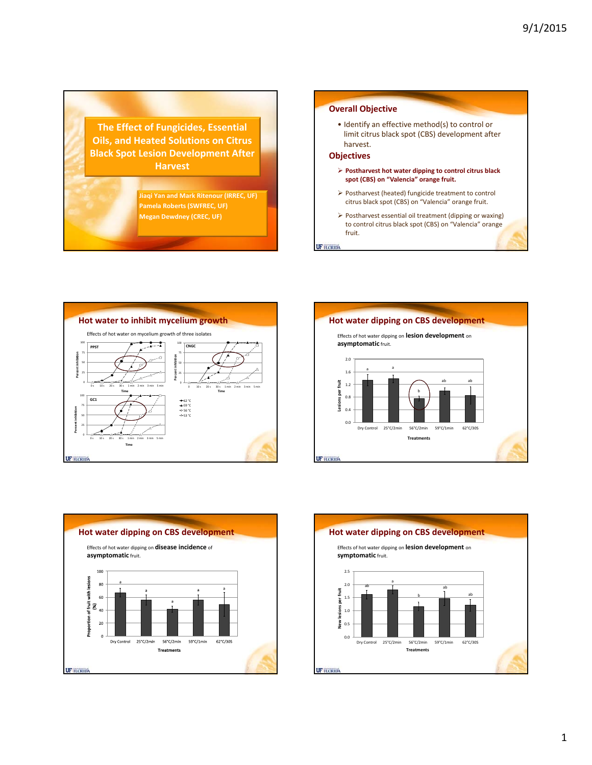**The Effect of Fungicides, Essential Oils, and Heated Solutions on Citrus Black Spot Lesion Development After Harvest**

> **Jiaqi Yan and Mark Ritenour (IRREC, UF) Pamela Roberts (SWFREC, UF) Megan Dewdney (CREC, UF)**

# **Overall Objective**

• Identify an effective method(s) to control or limit citrus black spot (CBS) development after harvest.

### **Objectives**

- **Postharvest hot water dipping to control citrus black spot (CBS) on "Valencia" orange fruit.**
- Postharvest (heated) fungicide treatment to control citrus black spot (CBS) on "Valencia" orange fruit.
- Postharvest essential oil treatment (dipping or waxing) to control citrus black spot (CBS) on "Valencia" orange fruit.

**UF FLORIDA** 







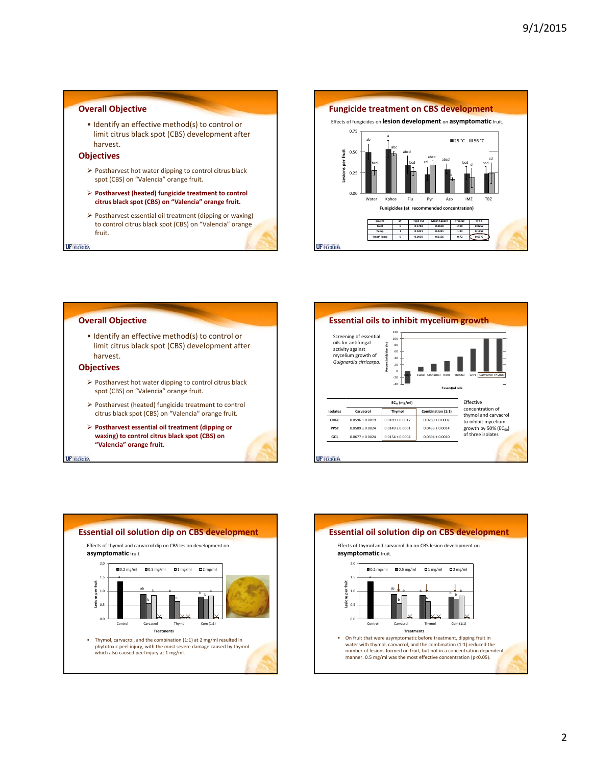# **Overall Objective**

• Identify an effective method(s) to control or limit citrus black spot (CBS) development after harvest.

#### **Objectives**

- Postharvest hot water dipping to control citrus black spot (CBS) on "Valencia" orange fruit.
- **Postharvest (heated) fungicide treatment to control citrus black spot (CBS) on "Valencia" orange fruit.**
- Postharvest essential oil treatment (dipping or waxing) to control citrus black spot (CBS) on "Valencia" orange fruit.

**UF FLORIDA** 



## **Overall Objective**

• Identify an effective method(s) to control or limit citrus black spot (CBS) development after harvest.

### **Objectives**

- $\triangleright$  Postharvest hot water dipping to control citrus black spot (CBS) on "Valencia" orange fruit.
- Postharvest (heated) fungicide treatment to control citrus black spot (CBS) on "Valencia" orange fruit.
- **Postharvest essential oil treatment (dipping or waxing) to control citrus black spot (CBS) on "Valencia" orange fruit.**

**UF FLORIDA**